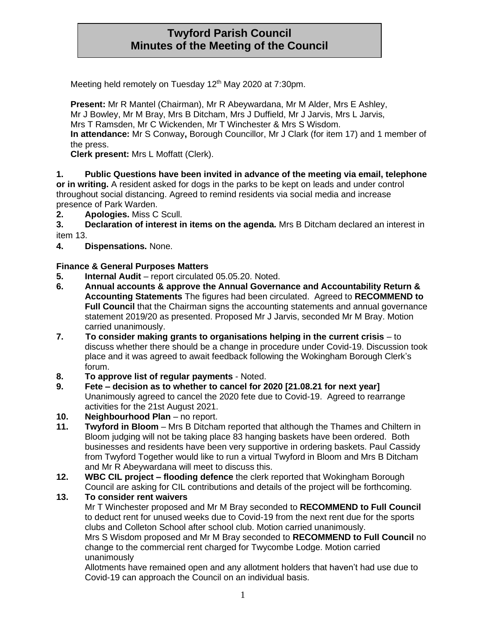# **Twyford Parish Council Minutes of the Meeting of the Council**

Meeting held remotely on Tuesday 12<sup>th</sup> May 2020 at 7:30pm.

**Present:** Mr R Mantel (Chairman), Mr R Abeywardana, Mr M Alder, Mrs E Ashley, Mr J Bowley, Mr M Bray, Mrs B Ditcham, Mrs J Duffield, Mr J Jarvis, Mrs L Jarvis, Mrs T Ramsden, Mr C Wickenden, Mr T Winchester & Mrs S Wisdom. **In attendance:** Mr S Conway**,** Borough Councillor, Mr J Clark (for item 17) and 1 member of the press.

**Clerk present:** Mrs L Moffatt (Clerk).

**1. Public Questions have been invited in advance of the meeting via email, telephone or in writing.** A resident asked for dogs in the parks to be kept on leads and under control throughout social distancing. Agreed to remind residents via social media and increase presence of Park Warden.

**2. Apologies.** Miss C Scull.

**3. Declaration of interest in items on the agenda.** Mrs B Ditcham declared an interest in item 13.

**4. Dispensations.** None.

## **Finance & General Purposes Matters**

- **5.** Internal Audit report circulated 05.05.20. Noted.
- **6. Annual accounts & approve the Annual Governance and Accountability Return & Accounting Statements** The figures had been circulated. Agreed to **RECOMMEND to Full Council** that the Chairman signs the accounting statements and annual governance statement 2019/20 as presented. Proposed Mr J Jarvis, seconded Mr M Bray. Motion carried unanimously.
- **7. To consider making grants to organisations helping in the current crisis**  to discuss whether there should be a change in procedure under Covid-19. Discussion took place and it was agreed to await feedback following the Wokingham Borough Clerk's forum.
- **8. To approve list of regular payments**  Noted.
- **9. Fete – decision as to whether to cancel for 2020 [21.08.21 for next year]** Unanimously agreed to cancel the 2020 fete due to Covid-19. Agreed to rearrange activities for the 21st August 2021.
- **10. Neighbourhood Plan** no report.
- **11. Twyford in Bloom**  Mrs B Ditcham reported that although the Thames and Chiltern in Bloom judging will not be taking place 83 hanging baskets have been ordered. Both businesses and residents have been very supportive in ordering baskets. Paul Cassidy from Twyford Together would like to run a virtual Twyford in Bloom and Mrs B Ditcham and Mr R Abeywardana will meet to discuss this.
- **12. WBC CIL project – flooding defence** the clerk reported that Wokingham Borough Council are asking for CIL contributions and details of the project will be forthcoming.

### **13. To consider rent waivers**

Mr T Winchester proposed and Mr M Bray seconded to **RECOMMEND to Full Council**  to deduct rent for unused weeks due to Covid-19 from the next rent due for the sports clubs and Colleton School after school club. Motion carried unanimously.

Mrs S Wisdom proposed and Mr M Bray seconded to **RECOMMEND to Full Council** no change to the commercial rent charged for Twycombe Lodge. Motion carried unanimously

Allotments have remained open and any allotment holders that haven't had use due to Covid-19 can approach the Council on an individual basis.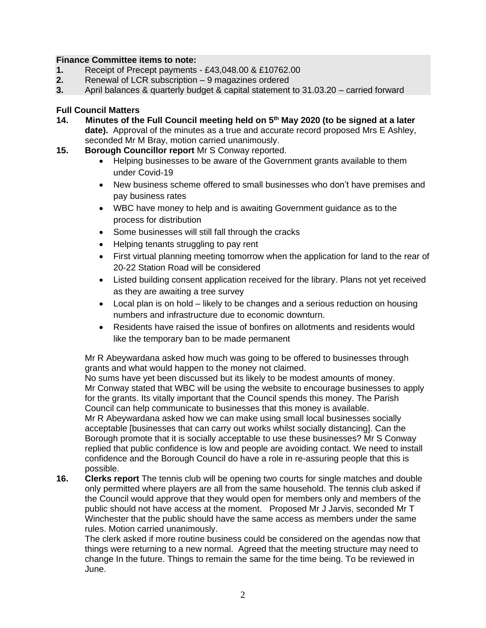#### **Finance Committee items to note:**

- **1.** Receipt of Precept payments £43,048.00 & £10762.00
- **2.** Renewal of LCR subscription 9 magazines ordered
- **3.** April balances & quarterly budget & capital statement to 31.03.20 carried forward

## **Full Council Matters**

- **14. Minutes of the Full Council meeting held on 5th May 2020 (to be signed at a later date).** Approval of the minutes as a true and accurate record proposed Mrs E Ashley, seconded Mr M Bray, motion carried unanimously.
- **15. Borough Councillor report** Mr S Conway reported.
	- Helping businesses to be aware of the Government grants available to them under Covid-19
	- New business scheme offered to small businesses who don't have premises and pay business rates
	- WBC have money to help and is awaiting Government guidance as to the process for distribution
	- Some businesses will still fall through the cracks
	- Helping tenants struggling to pay rent
	- First virtual planning meeting tomorrow when the application for land to the rear of 20-22 Station Road will be considered
	- Listed building consent application received for the library. Plans not yet received as they are awaiting a tree survey
	- Local plan is on hold likely to be changes and a serious reduction on housing numbers and infrastructure due to economic downturn.
	- Residents have raised the issue of bonfires on allotments and residents would like the temporary ban to be made permanent

Mr R Abeywardana asked how much was going to be offered to businesses through grants and what would happen to the money not claimed.

No sums have yet been discussed but its likely to be modest amounts of money. Mr Conway stated that WBC will be using the website to encourage businesses to apply for the grants. Its vitally important that the Council spends this money. The Parish Council can help communicate to businesses that this money is available.

Mr R Abeywardana asked how we can make using small local businesses socially acceptable [businesses that can carry out works whilst socially distancing]. Can the Borough promote that it is socially acceptable to use these businesses? Mr S Conway replied that public confidence is low and people are avoiding contact. We need to install confidence and the Borough Council do have a role in re-assuring people that this is possible.

**16. Clerks report** The tennis club will be opening two courts for single matches and double only permitted where players are all from the same household. The tennis club asked if the Council would approve that they would open for members only and members of the public should not have access at the moment. Proposed Mr J Jarvis, seconded Mr T Winchester that the public should have the same access as members under the same rules. Motion carried unanimously.

The clerk asked if more routine business could be considered on the agendas now that things were returning to a new normal. Agreed that the meeting structure may need to change In the future. Things to remain the same for the time being. To be reviewed in June.